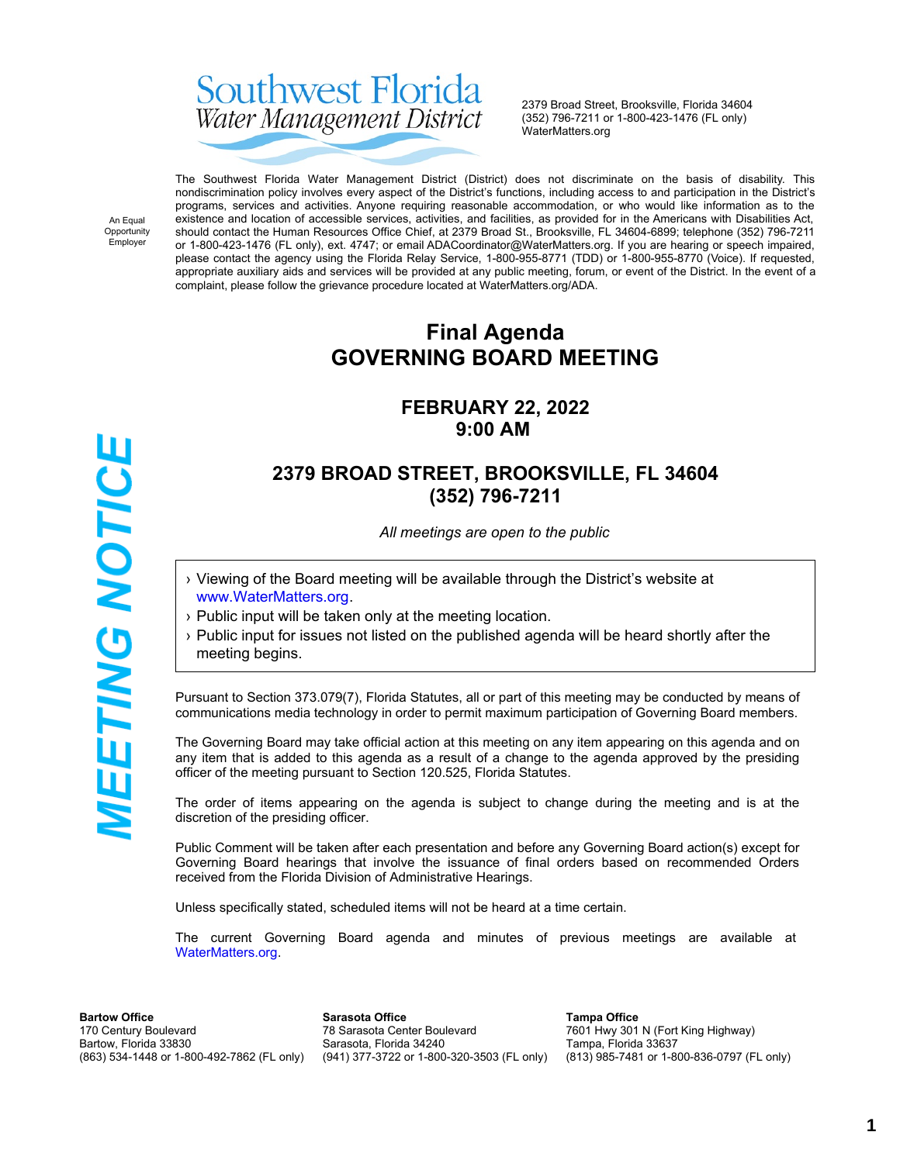# Southwest Florida Water Management District

2379 Broad Street, Brooksville, Florida 34604 (352) 796-7211 or 1-800-423-1476 (FL only) WaterMatters.org

An Equal Opportunity Employer

**IEETING NOTICE** 

The Southwest Florida Water Management District (District) does not discriminate on the basis of disability. This nondiscrimination policy involves every aspect of the District's functions, including access to and participation in the District's programs, services and activities. Anyone requiring reasonable accommodation, or who would like information as to the existence and location of accessible services, activities, and facilities, as provided for in the Americans with Disabilities Act, should contact the Human Resources Office Chief, at 2379 Broad St., Brooksville, FL 34604-6899; telephone (352) 796-7211 or 1-800-423-1476 (FL only), ext. 4747; or email ADACoordinator@WaterMatters.org. If you are hearing or speech impaired, please contact the agency using the Florida Relay Service, 1-800-955-8771 (TDD) or 1-800-955-8770 (Voice). If requested, appropriate auxiliary aids and services will be provided at any public meeting, forum, or event of the District. In the event of a complaint, please follow the grievance procedure located at WaterMatters.org/ADA.

# **Final Agenda GOVERNING BOARD MEETING**

### **FEBRUARY 22, 2022 9:00 AM**

## **2379 BROAD STREET, BROOKSVILLE, FL 34604 (352) 796-7211**

*All meetings are open to the public*

- › Viewing of the Board meeting will be available through the District's website at [www.WaterMatters.org](https://www.watermatters.org/).
- › Public input will be taken only at the meeting location.
- › Public input for issues not listed on the published agenda will be heard shortly after the meeting begins.

Pursuant to Section 373.079(7), Florida Statutes, all or part of this meeting may be conducted by means of communications media technology in order to permit maximum participation of Governing Board members.

The Governing Board may take official action at this meeting on any item appearing on this agenda and on any item that is added to this agenda as a result of a change to the agenda approved by the presiding officer of the meeting pursuant to Section 120.525, Florida Statutes.

The order of items appearing on the agenda is subject to change during the meeting and is at the discretion of the presiding officer.

Public Comment will be taken after each presentation and before any Governing Board action(s) except for Governing Board hearings that involve the issuance of final orders based on recommended Orders received from the Florida Division of Administrative Hearings.

Unless specifically stated, scheduled items will not be heard at a time certain.

The current Governing Board agenda and minutes of previous meetings are available at [WaterMatters.org](https://www.watermatters.org).

**Bartow Office** 170 Century Boulevard Bartow, Florida 33830 (863) 534-1448 or 1-800-492-7862 (FL only)

**Sarasota Office** 78 Sarasota Center Boulevard Sarasota, Florida 34240 (941) 377-3722 or 1-800-320-3503 (FL only)

**Tampa Office** 7601 Hwy 301 N (Fort King Highway) Tampa, Florida 33637 (813) 985-7481 or 1-800-836-0797 (FL only)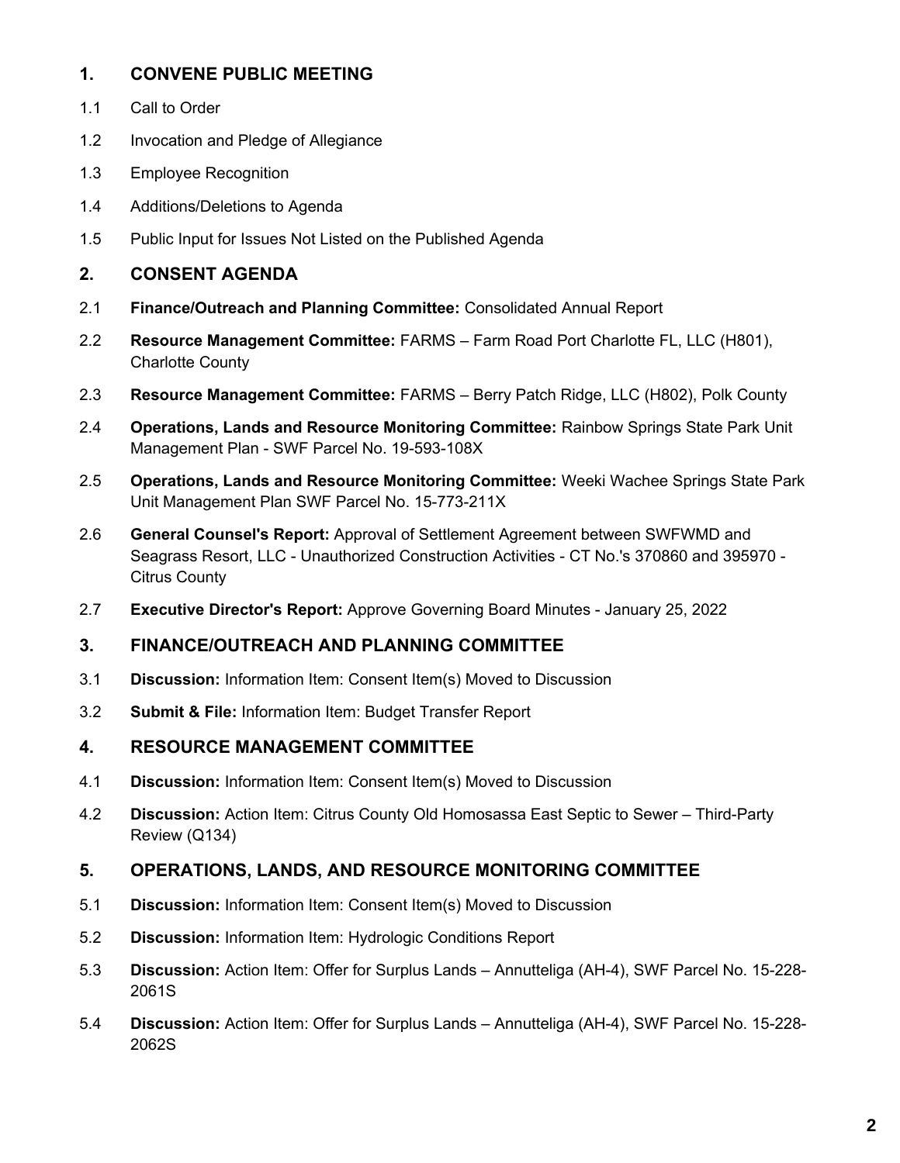#### **1. CONVENE PUBLIC MEETING**

- 1.1 Call to Order
- 1.2 Invocation and Pledge of Allegiance
- 1.3 Employee Recognition
- 1.4 Additions/Deletions to Agenda
- 1.5 Public Input for Issues Not Listed on the Published Agenda

#### **2. CONSENT AGENDA**

- 2.1 **Finance/Outreach and Planning Committee:** Consolidated Annual Report
- 2.2 **Resource Management Committee:** FARMS Farm Road Port Charlotte FL, LLC (H801), Charlotte County
- 2.3 **Resource Management Committee:** FARMS Berry Patch Ridge, LLC (H802), Polk County
- 2.4 **Operations, Lands and Resource Monitoring Committee:** Rainbow Springs State Park Unit Management Plan - SWF Parcel No. 19-593-108X
- 2.5 **Operations, Lands and Resource Monitoring Committee:** Weeki Wachee Springs State Park Unit Management Plan SWF Parcel No. 15-773-211X
- 2.6 **General Counsel's Report:** Approval of Settlement Agreement between SWFWMD and Seagrass Resort, LLC - Unauthorized Construction Activities - CT No.'s 370860 and 395970 - Citrus County
- 2.7 **Executive Director's Report:** Approve Governing Board Minutes January 25, 2022

#### **3. FINANCE/OUTREACH AND PLANNING COMMITTEE**

- 3.1 **Discussion:** Information Item: Consent Item(s) Moved to Discussion
- 3.2 **Submit & File:** Information Item: Budget Transfer Report

#### **4. RESOURCE MANAGEMENT COMMITTEE**

- 4.1 **Discussion:** Information Item: Consent Item(s) Moved to Discussion
- 4.2 **Discussion:** Action Item: Citrus County Old Homosassa East Septic to Sewer Third-Party Review (Q134)

#### **5. OPERATIONS, LANDS, AND RESOURCE MONITORING COMMITTEE**

- 5.1 **Discussion:** Information Item: Consent Item(s) Moved to Discussion
- 5.2 **Discussion:** Information Item: Hydrologic Conditions Report
- 5.3 **Discussion:** Action Item: Offer for Surplus Lands Annutteliga (AH-4), SWF Parcel No. 15-228- 2061S
- 5.4 **Discussion:** Action Item: Offer for Surplus Lands Annutteliga (AH-4), SWF Parcel No. 15-228- 2062S